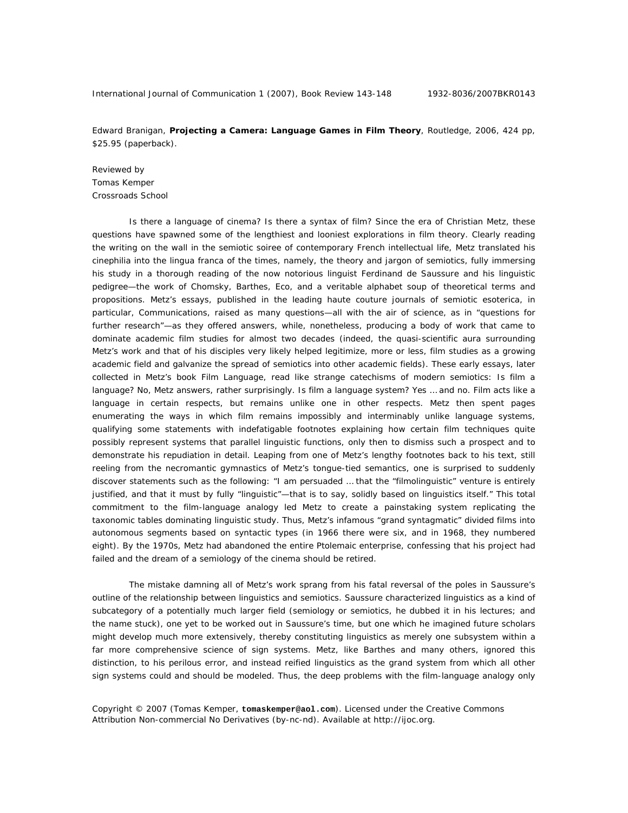Edward Branigan, **Projecting a Camera: Language Games in Film Theory**, Routledge, 2006, 424 pp, \$25.95 (paperback).

Reviewed by Tomas Kemper Crossroads School

Is there a language of cinema? Is there a syntax of film? Since the era of Christian Metz, these questions have spawned some of the lengthiest and looniest explorations in film theory. Clearly reading the writing on the wall in the semiotic soiree of contemporary French intellectual life, Metz translated his cinephilia into the lingua franca of the times, namely, the theory and jargon of semiotics, fully immersing his study in a thorough reading of the now notorious linguist Ferdinand de Saussure and his linguistic pedigree—the work of Chomsky, Barthes, Eco, and a veritable alphabet soup of theoretical terms and propositions. Metz's essays, published in the leading haute couture journals of semiotic esoterica, in particular, *Communications*, raised as many questions—all with the air of science, as in "questions for further research"—as they offered answers, while, nonetheless, producing a body of work that came to dominate academic film studies for almost two decades (indeed, the quasi-scientific aura surrounding Metz's work and that of his disciples very likely helped legitimize, more or less, film studies as a growing academic field and galvanize the spread of semiotics into other academic fields). These early essays, later collected in Metz's book *Film Language*, read like strange catechisms of modern semiotics: Is film a language? No, Metz answers, rather surprisingly. Is film a language system? Yes … and no. Film acts like a language in certain respects, but remains unlike one in other respects. Metz then spent pages enumerating the ways in which film remains impossibly and interminably *unlike* language systems, qualifying some statements with indefatigable footnotes explaining how certain film techniques quite possibly represent systems that parallel linguistic functions, only then to dismiss such a prospect and to demonstrate his repudiation in detail. Leaping from one of Metz's lengthy footnotes back to his text, still reeling from the necromantic gymnastics of Metz's tongue-tied semantics, one is surprised to suddenly discover statements such as the following: "I am persuaded … that the "filmolinguistic" venture is entirely justified, and that it must by fully "linguistic"—that is to say, solidly based on linguistics itself." This total commitment to the film-language analogy led Metz to create a painstaking system replicating the taxonomic tables dominating linguistic study. Thus, Metz's infamous "grand syntagmatic" divided films into autonomous segments based on syntactic types (in 1966 there were six, and in 1968, they numbered eight). By the 1970s, Metz had abandoned the entire Ptolemaic enterprise, confessing that his project had failed and the dream of a semiology of the cinema should be retired.

The mistake damning all of Metz's work sprang from his fatal reversal of the poles in Saussure's outline of the relationship between linguistics and semiotics. Saussure characterized linguistics as a kind of subcategory of a potentially much larger field (semiology or semiotics, he dubbed it in his lectures; and the name stuck), one yet to be worked out in Saussure's time, but one which he imagined future scholars might develop much more extensively, thereby constituting linguistics as merely one subsystem within a far more comprehensive science of sign systems. Metz, like Barthes and many others, ignored this distinction, to his perilous error, and instead reified linguistics as the grand system from which all other sign systems could and should be modeled. Thus, the deep problems with the film-language analogy only

Copyright © 2007 (Tomas Kemper, **tomaskemper@aol.com**). Licensed under the Creative Commons Attribution Non-commercial No Derivatives (by-nc-nd). Available at http://ijoc.org.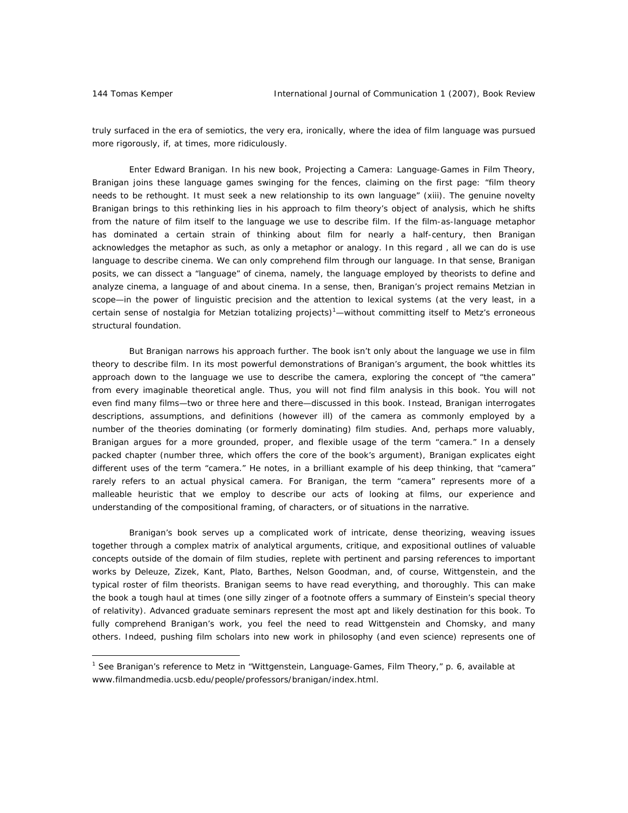$\overline{a}$ 

truly surfaced in the era of semiotics, the very era, ironically, where the idea of film language was pursued more rigorously, if, at times, more ridiculously.

Enter Edward Branigan. In his new book, *Projecting a Camera: Language-Games in Film Theory*, Branigan joins these language games swinging for the fences, claiming on the first page: "film theory needs to be rethought. It must seek a new relationship to its own language" (xiii). The genuine novelty Branigan brings to this rethinking lies in his approach to film theory's object of analysis, which he shifts from the nature of film itself to the *language* we use to describe film. If the film-as-language metaphor has dominated a certain strain of thinking about film for nearly a half-century, then Branigan acknowledges the metaphor as such, as only a metaphor or analogy. In this regard , all we can do is use language to describe cinema. We can only comprehend film through our language. In that sense, Branigan posits, we can dissect a "language" of cinema, namely, the language employed by theorists to define and analyze cinema, a language of and about cinema. In a sense, then, Branigan's project remains Metzian in scope—in the power of linguistic precision and the attention to lexical systems (at the very least, in a certain sense of nostalgia for Metzian totalizing projects)<sup>1</sup>—without committing itself to Metz's erroneous structural foundation.

But Branigan narrows his approach further. The book isn't only about the language we use in film theory to describe film. In its most powerful demonstrations of Branigan's argument, the book whittles its approach down to the language we use to describe the camera, exploring the concept of "the camera" from every imaginable theoretical angle. Thus, you will not find film analysis in this book. You will not even find many films—two or three here and there—discussed in this book. Instead, Branigan interrogates descriptions, assumptions, and definitions (however ill) of the camera as commonly employed by a number of the theories dominating (or formerly dominating) film studies. And, perhaps more valuably, Branigan argues for a more grounded, proper, and flexible usage of the term "camera." In a densely packed chapter (number three, which offers the core of the book's argument), Branigan explicates eight different uses of the term "camera." He notes, in a brilliant example of his deep thinking, that "camera" rarely refers to an actual physical camera. For Branigan, the term "camera" represents more of a malleable heuristic that we employ to describe our acts of looking at films, our experience and understanding of the compositional framing, of characters, or of situations in the narrative.

Branigan's book serves up a complicated work of intricate, dense theorizing, weaving issues together through a complex matrix of analytical arguments, critique, and expositional outlines of valuable concepts outside of the domain of film studies, replete with pertinent and parsing references to important works by Deleuze, Zizek, Kant, Plato, Barthes, Nelson Goodman, and, of course, Wittgenstein, and the typical roster of film theorists. Branigan seems to have read everything, and thoroughly. This can make the book a tough haul at times (one silly zinger of a footnote offers a summary of Einstein's special theory of relativity). Advanced graduate seminars represent the most apt and likely destination for this book. To fully comprehend Branigan's work, you feel the need to read Wittgenstein and Chomsky, and many others. Indeed, pushing film scholars into new work in philosophy (and even science) represents one of

<sup>&</sup>lt;sup>1</sup> See Branigan's reference to Metz in "Wittgenstein, Language-Games, Film Theory," p. 6, available at www.filmandmedia.ucsb.edu/people/professors/branigan/index.html.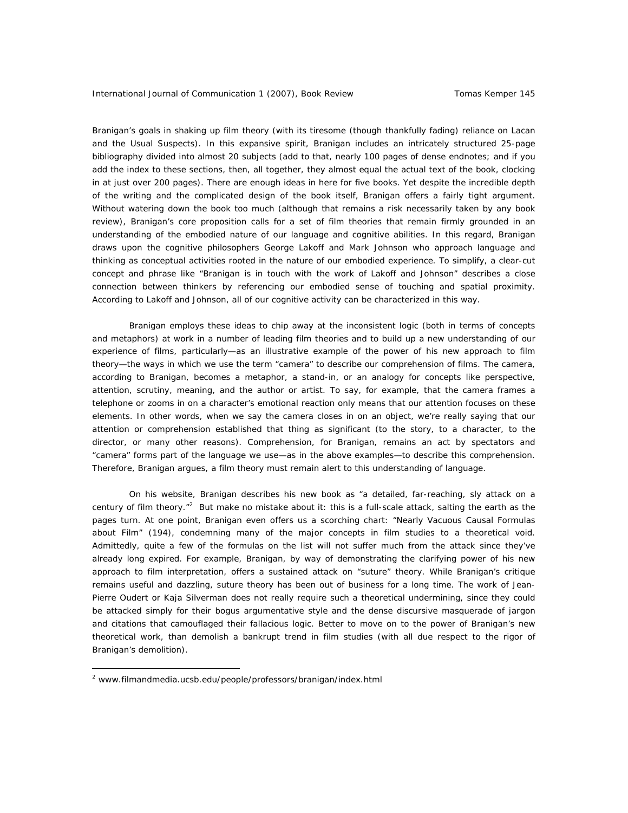Branigan's goals in shaking up film theory (with its tiresome (though thankfully fading) reliance on Lacan and the Usual Suspects). In this expansive spirit, Branigan includes an intricately structured 25-page bibliography divided into almost 20 subjects (add to that, nearly 100 pages of dense endnotes; and if you add the index to these sections, then, all together, they almost equal the actual text of the book, clocking in at just over 200 pages). There are enough ideas in here for five books. Yet despite the incredible depth of the writing and the complicated design of the book itself, Branigan offers a fairly tight argument. Without watering down the book too much (although that remains a risk necessarily taken by any book review), Branigan's core proposition calls for a set of film theories that remain firmly grounded in an understanding of the embodied nature of our language and cognitive abilities. In this regard, Branigan draws upon the cognitive philosophers George Lakoff and Mark Johnson who approach language and thinking as conceptual activities rooted in the nature of our embodied experience. To simplify, a clear-cut concept and phrase like "Branigan is in touch with the work of Lakoff and Johnson" describes a close connection between thinkers by referencing our embodied sense of touching and spatial proximity. According to Lakoff and Johnson, all of our cognitive activity can be characterized in this way.

Branigan employs these ideas to chip away at the inconsistent logic (both in terms of concepts and metaphors) at work in a number of leading film theories and to build up a new understanding of our experience of films, particularly—as an illustrative example of the power of his new approach to film theory—the ways in which we use the term "camera" to describe our comprehension of films. The camera, according to Branigan, becomes a metaphor, a stand-in, or an analogy for concepts like perspective, attention, scrutiny, meaning, and the author or artist. To say, for example, that the camera frames a telephone or zooms in on a character's emotional reaction only means that our attention focuses on these elements. In other words, when we say the camera closes in on an object, we're really saying that our attention or comprehension established that thing as significant (to the story, to a character, to the director, or many other reasons). Comprehension, for Branigan, remains an *act* by spectators and "camera" forms part of the language we use—as in the above examples—to describe this comprehension. Therefore, Branigan argues, a film theory must remain alert to this understanding of language.

On his website, Branigan describes his new book as "a detailed, far-reaching, sly attack on a century of film theory."<sup>2</sup> But make no mistake about it: this is a full-scale attack, salting the earth as the pages turn. At one point, Branigan even offers us a scorching chart: "Nearly Vacuous Causal Formulas about Film" (194), condemning many of the major concepts in film studies to a theoretical void. Admittedly, quite a few of the formulas on the list will not suffer much from the attack since they've already long expired. For example, Branigan, by way of demonstrating the clarifying power of his new approach to film interpretation, offers a sustained attack on "suture" theory. While Branigan's critique remains useful and dazzling, suture theory has been out of business for a long time. The work of Jean-Pierre Oudert or Kaja Silverman does not really require such a theoretical undermining, since they could be attacked simply for their bogus argumentative style and the dense discursive masquerade of jargon and citations that camouflaged their fallacious logic. Better to move on to the power of Branigan's new theoretical work, than demolish a bankrupt trend in film studies (with all due respect to the rigor of Branigan's demolition).

 $\overline{a}$ 

<sup>&</sup>lt;sup>2</sup> www.filmandmedia.ucsb.edu/people/professors/branigan/index.html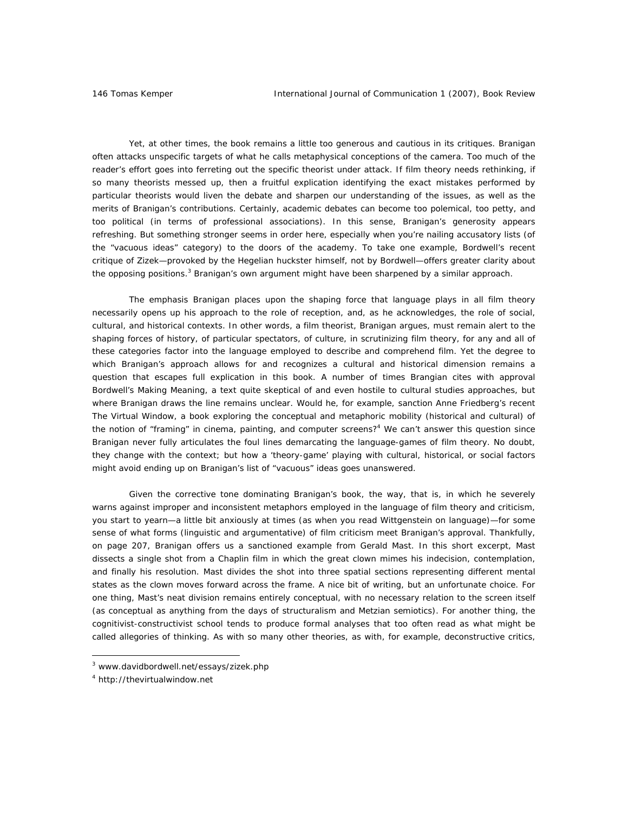Yet, at other times, the book remains a little too generous and cautious in its critiques. Branigan often attacks unspecific targets of what he calls metaphysical conceptions of the camera. Too much of the reader's effort goes into ferreting out the specific theorist under attack. If film theory needs rethinking, if so many theorists messed up, then a fruitful explication identifying the exact mistakes performed by particular theorists would liven the debate and sharpen our understanding of the issues, as well as the merits of Branigan's contributions. Certainly, academic debates can become too polemical, too petty, and too political (in terms of professional associations). In this sense, Branigan's generosity appears refreshing. But something stronger seems in order here, especially when you're nailing accusatory lists (of the "vacuous ideas" category) to the doors of the academy. To take one example, Bordwell's recent critique of Zizek—provoked by the Hegelian huckster himself, not by Bordwell—offers greater clarity about the opposing positions.<sup>3</sup> Branigan's own argument might have been sharpened by a similar approach.

The emphasis Branigan places upon the shaping force that language plays in all film theory necessarily opens up his approach to the role of reception, and, as he acknowledges, the role of social, cultural, and historical contexts. In other words, a film theorist, Branigan argues, must remain alert to the shaping forces of history, of particular spectators, of culture, in scrutinizing film theory, for any and all of these categories factor into the language employed to describe and comprehend film. Yet the degree to which Branigan's approach allows for and recognizes a cultural and historical dimension remains a question that escapes full explication in this book. A number of times Brangian cites with approval Bordwell's *Making Meaning*, a text quite skeptical of and even hostile to cultural studies approaches, but where Branigan draws the line remains unclear. Would he, for example, sanction Anne Friedberg's recent *The Virtual Window*, a book exploring the conceptual and metaphoric mobility (historical and cultural) of the notion of "framing" in cinema, painting, and computer screens?<sup>4</sup> We can't answer this question since Branigan never fully articulates the foul lines demarcating the language-games of film theory. No doubt, they change with the context; but how a 'theory-game' playing with cultural, historical, or social factors might avoid ending up on Branigan's list of "vacuous" ideas goes unanswered.

Given the corrective tone dominating Branigan's book, the way, that is, in which he severely warns against improper and inconsistent metaphors employed in the language of film theory and criticism, you start to yearn—a little bit anxiously at times (as when you read Wittgenstein on language)—for some sense of what forms (linguistic and argumentative) of film criticism meet Branigan's approval. Thankfully, on page 207, Branigan offers us a sanctioned example from Gerald Mast. In this short excerpt, Mast dissects a single shot from a Chaplin film in which the great clown mimes his indecision, contemplation, and finally his resolution. Mast divides the shot into three spatial sections representing different mental states as the clown moves forward across the frame. A nice bit of writing, but an unfortunate choice. For one thing, Mast's neat division remains entirely conceptual, with no necessary relation to the screen itself (as conceptual as anything from the days of structuralism and Metzian semiotics). For another thing, the cognitivist-constructivist school tends to produce formal analyses that too often read as what might be called allegories of thinking. As with so many other theories, as with, for example, deconstructive critics,

 $\overline{a}$ 

<sup>3</sup> www.davidbordwell.net/essays/zizek.php

<sup>4</sup> http://thevirtualwindow.net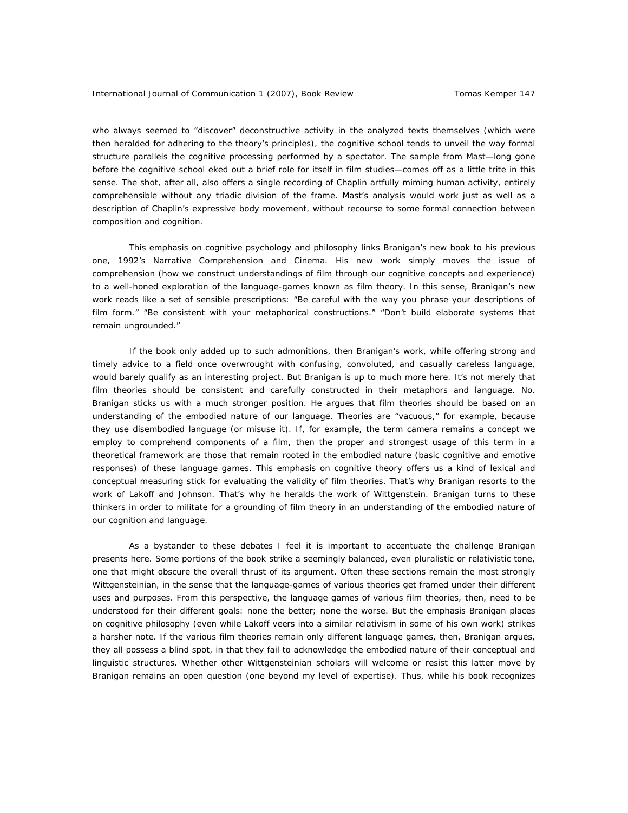who always seemed to "discover" deconstructive activity in the analyzed texts themselves (which were then heralded for adhering to the theory's principles), the cognitive school tends to unveil the way formal structure parallels the cognitive processing performed by a spectator. The sample from Mast—long gone before the cognitive school eked out a brief role for itself in film studies—comes off as a little trite in this sense. The shot, after all, also offers a single recording of Chaplin artfully miming human activity, entirely comprehensible without any triadic division of the frame. Mast's analysis would work just as well as a description of Chaplin's expressive body movement, without recourse to some formal connection between composition and cognition.

This emphasis on cognitive psychology and philosophy links Branigan's new book to his previous one, 1992's *Narrative Comprehension and Cinema*. His new work simply moves the issue of comprehension (how we construct understandings of film through our cognitive concepts and experience) to a well-honed exploration of the language-games known as film theory. In this sense, Branigan's new work reads like a set of sensible prescriptions: "Be careful with the way you phrase your descriptions of film form." "Be consistent with your metaphorical constructions." "Don't build elaborate systems that remain ungrounded."

If the book only added up to such admonitions, then Branigan's work, while offering strong and timely advice to a field once overwrought with confusing, convoluted, and casually careless language, would barely qualify as an interesting project. But Branigan is up to much more here. It's not merely that film theories should be consistent and carefully constructed in their metaphors and language. No. Branigan sticks us with a much stronger position. He argues that film theories should be based on an understanding of the embodied nature of our language. Theories are "vacuous," for example, because they use disembodied language (or misuse it). If, for example, the term camera remains a concept we employ to comprehend components of a film, then the proper and strongest usage of this term in a theoretical framework are those that remain rooted in the embodied nature (basic cognitive and emotive responses) of these language games. This emphasis on cognitive theory offers us a kind of lexical and conceptual measuring stick for evaluating the validity of film theories. That's why Branigan resorts to the work of Lakoff and Johnson. That's why he heralds the work of Wittgenstein. Branigan turns to these thinkers in order to militate for a grounding of film theory in an understanding of the embodied nature of our cognition and language.

As a bystander to these debates I feel it is important to accentuate the challenge Branigan presents here. Some portions of the book strike a seemingly balanced, even pluralistic or relativistic tone, one that might obscure the overall thrust of its argument. Often these sections remain the most strongly Wittgensteinian, in the sense that the language-games of various theories get framed under their different uses and purposes. From this perspective, the language games of various film theories, then, need to be understood for their different goals: none the better; none the worse. But the emphasis Branigan places on cognitive philosophy (even while Lakoff veers into a similar relativism in some of his own work) strikes a harsher note. If the various film theories remain only different language games, then, Branigan argues, they all possess a blind spot, in that they fail to acknowledge the embodied nature of their conceptual and linguistic structures. Whether other Wittgensteinian scholars will welcome or resist this latter move by Branigan remains an open question (one beyond my level of expertise). Thus, while his book recognizes